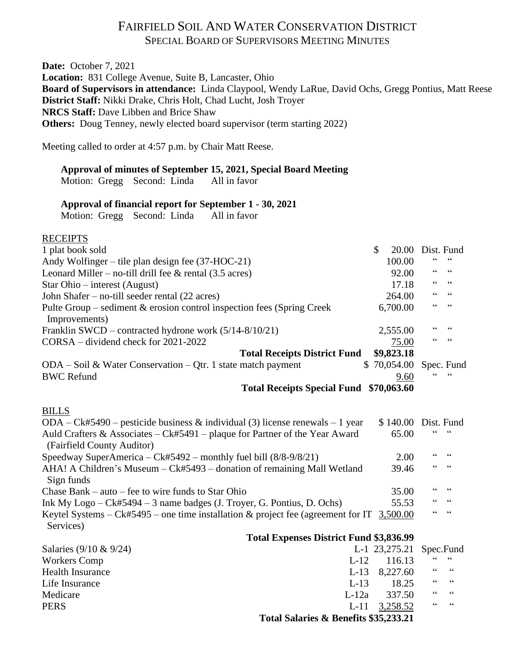# FAIRFIELD SOIL AND WATER CONSERVATION DISTRICT SPECIAL BOARD OF SUPERVISORS MEETING MINUTES

**Date:** October 7, 2021 **Location:** 831 College Avenue, Suite B, Lancaster, Ohio **Board of Supervisors in attendance:** Linda Claypool, Wendy LaRue, David Ochs, Gregg Pontius, Matt Reese **District Staff:** Nikki Drake, Chris Holt, Chad Lucht, Josh Troyer **NRCS Staff:** Dave Libben and Brice Shaw **Others:** Doug Tenney, newly elected board supervisor (term starting 2022)

Meeting called to order at 4:57 p.m. by Chair Matt Reese.

### **Approval of minutes of September 15, 2021, Special Board Meeting**

Motion: Gregg Second: Linda All in favor

#### **Approval of financial report for September 1 - 30, 2021**

Motion: Gregg Second: Linda All in favor

### **RECEIPTS**

| 1 plat book sold                                                                                           | \$<br>20.00   | Dist. Fund                        |                          |
|------------------------------------------------------------------------------------------------------------|---------------|-----------------------------------|--------------------------|
| Andy Wolfinger – tile plan design fee $(37-HOC-21)$                                                        | 100.00        | 66                                | 66                       |
| Leonard Miller – no-till drill fee $\&$ rental (3.5 acres)                                                 | 92.00         | 66                                | 66                       |
| Star Ohio – interest (August)                                                                              | 17.18         | 66                                | 66                       |
| John Shafer - no-till seeder rental (22 acres)                                                             | 264.00        | $\zeta$ $\zeta$                   | $\textsf{G}\,\textsf{G}$ |
| Pulte Group – sediment $&$ erosion control inspection fees (Spring Creek<br>Improvements)                  | 6,700.00      | $\epsilon$                        | $\zeta\,\zeta$           |
| Franklin SWCD – contracted hydrone work (5/14-8/10/21)                                                     | 2,555.00      | 66                                | 66                       |
| CORSA – dividend check for 2021-2022                                                                       | 75.00         | $\zeta$ $\zeta$                   | $\zeta \zeta$            |
| <b>Total Receipts District Fund</b>                                                                        | \$9,823.18    |                                   |                          |
| $ODA - Soil \& Water Conservation - Qtr.$ 1 state match payment                                            | \$70,054.00   |                                   | Spec. Fund               |
| <b>BWC Refund</b>                                                                                          | 9.60          |                                   |                          |
| Total Receipts Special Fund \$70,063.60                                                                    |               |                                   |                          |
|                                                                                                            |               |                                   |                          |
| <b>BILLS</b>                                                                                               |               |                                   |                          |
| ODA – Ck#5490 – pesticide business & individual (3) license renewals – 1 year                              | \$140.00      |                                   | Dist. Fund               |
| Auld Crafters & Associates $-Ck#5491$ – plaque for Partner of the Year Award<br>(Fairfield County Auditor) | 65.00         |                                   | 66                       |
| Speedway SuperAmerica - Ck#5492 - monthly fuel bill (8/8-9/8/21)                                           | 2.00          | 66                                | $\zeta \zeta$            |
| AHA! A Children's Museum – Ck#5493 – donation of remaining Mall Wetland<br>Sign funds                      | 39.46         | 66                                | 66                       |
| Chase Bank $-$ auto $-$ fee to wire funds to Star Ohio                                                     | 35.00         | 66                                | 66                       |
| Ink My Logo $-Ck#5494 - 3$ name badges (J. Troyer, G. Pontius, D. Ochs)                                    | 55.53         | $\!\!\!\zeta\,\zeta\!\!\!\zeta\!$ | $\zeta \zeta$            |
| Keytel Systems – Ck#5495 – one time installation & project fee (agreement for IT $3,500.00$<br>Services)   |               | 66                                | $\zeta \zeta$            |
| <b>Total Expenses District Fund \$3,836.99</b>                                                             |               |                                   |                          |
| Salaries (9/10 & 9/24)                                                                                     | L-1 23,275.21 |                                   | Spec.Fund                |
| <b>Workers Comp</b><br>$L-12$                                                                              | 116.13        |                                   | $\zeta\,\zeta$           |
| <b>Health Insurance</b><br>$L-13$                                                                          | 8,227.60      | 66                                | $\zeta\,\zeta$           |
| $L-13$<br>Life Insurance                                                                                   | 18.25         | 66                                | $\textsf{G}\,\textsf{G}$ |
| $L-12a$<br>Medicare                                                                                        | 337.50        | $\zeta$ $\zeta$                   | $\zeta \zeta$            |
| <b>PERS</b><br>$L-11$                                                                                      | 3,258.52      | $\zeta$ $\zeta$                   | $\zeta$ $\zeta$          |

**Total Salaries & Benefits \$35,233.21**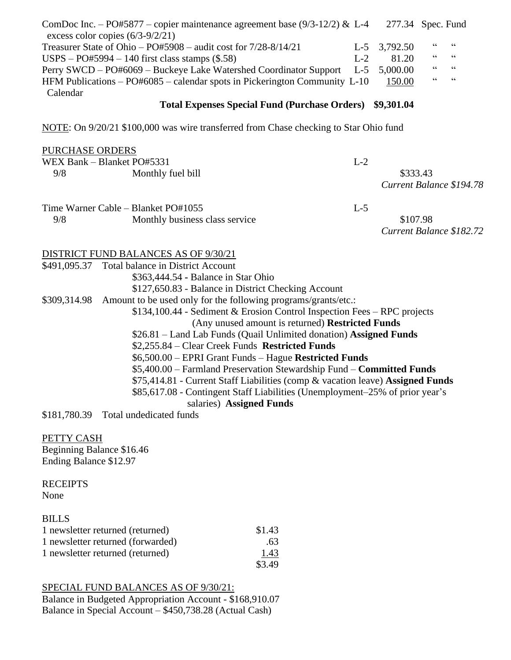| ComDoc Inc. – PO#5877 – copier maintenance agreement base (9/3-12/2) & L-4<br>excess color copies $(6/3-9/2/21)$ |       | 277.34 Spec. Fund |    |    |  |
|------------------------------------------------------------------------------------------------------------------|-------|-------------------|----|----|--|
| Treasurer State of Ohio - PO#5908 - audit cost for 7/28-8/14/21                                                  | $L-5$ | 3,792.50          | 66 | 66 |  |
| $USPS - PO#5994 - 140$ first class stamps $(\$.58)$                                                              | $L-2$ | 81.20             | 66 | 66 |  |
| Perry SWCD - PO#6069 - Buckeye Lake Watershed Coordinator Support                                                | $L-5$ | 5,000.00          | 66 | 66 |  |
| HFM Publications $-$ PO#6085 $-$ calendar spots in Pickerington Community L-10                                   |       | 150.00            | 66 | 66 |  |
| Calendar<br><b>Total Expenses Special Fund (Purchase Orders)</b>                                                 |       | \$9,301.04        |    |    |  |
| NOTE: On 9/20/21 \$100,000 was wire transferred from Chase checking to Star Ohio fund                            |       |                   |    |    |  |
| <b>PURCHASE ORDERS</b>                                                                                           |       |                   |    |    |  |
| WEX Bank - Blanket PO#5331                                                                                       | $L-2$ |                   |    |    |  |

|     | Time Warner Cable – Blanket PO#1055 | $L-5$                    |
|-----|-------------------------------------|--------------------------|
| 9/8 | Monthly business class service      | \$107.98                 |
|     |                                     | Current Balance \$182.72 |

*Current Balance \$194.78*

9/8 Monthly fuel bill \$333.43

DISTRICT FUND BALANCES AS OF 9/30/21

|                        | \$491,095.37 Total balance in District Account                                 |
|------------------------|--------------------------------------------------------------------------------|
|                        | \$363,444.54 - Balance in Star Ohio                                            |
|                        | \$127,650.83 - Balance in District Checking Account                            |
| \$309,314.98           | Amount to be used only for the following programs/grants/etc.:                 |
|                        | $$134,100.44$ - Sediment & Erosion Control Inspection Fees – RPC projects      |
|                        | (Any unused amount is returned) <b>Restricted Funds</b>                        |
|                        | \$26.81 – Land Lab Funds (Quail Unlimited donation) Assigned Funds             |
|                        | \$2,255.84 – Clear Creek Funds Restricted Funds                                |
|                        | \$6,500.00 – EPRI Grant Funds – Hague Restricted Funds                         |
|                        | \$5,400.00 – Farmland Preservation Stewardship Fund – <b>Committed Funds</b>   |
|                        | \$75,414.81 - Current Staff Liabilities (comp & vacation leave) Assigned Funds |
|                        | \$85,617.08 - Contingent Staff Liabilities (Unemployment–25% of prior year's   |
|                        | salaries) Assigned Funds                                                       |
| $0.101$ $0.000$ $0.00$ | <b>THAT IT'S ICT</b>                                                           |

\$181,780.39 Total undedicated funds

PETTY CASH Beginning Balance \$16.46

Ending Balance \$12.97

**RECEIPTS** None

BILLS

| 1 newsletter returned (returned)  | \$1.43 |
|-----------------------------------|--------|
| 1 newsletter returned (forwarded) | .63    |
| 1 newsletter returned (returned)  | 1.43   |
|                                   | \$3.49 |

SPECIAL FUND BALANCES AS OF 9/30/21:

Balance in Budgeted Appropriation Account - \$168,910.07 Balance in Special Account – \$450,738.28 (Actual Cash)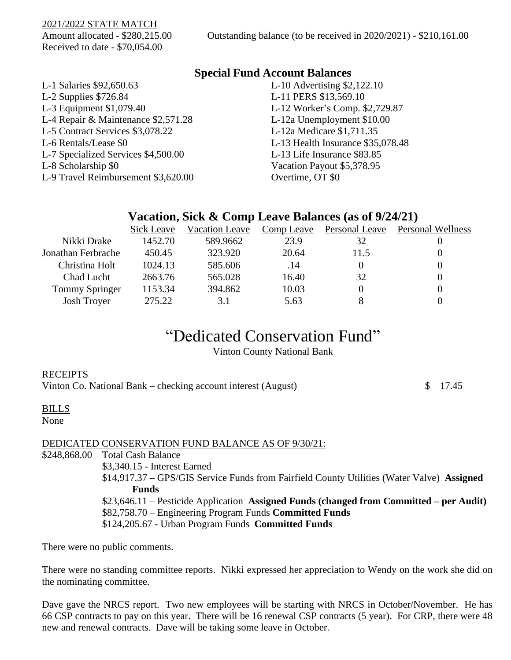2021/2022 STATE MATCH

Received to date - \$70,054.00

## **Special Fund Account Balances**

| L-1 Salaries \$92,650.63            | L-10 Advertising \$2,122.10       |
|-------------------------------------|-----------------------------------|
| L-2 Supplies $$726.84$              | L-11 PERS \$13,569.10             |
| L-3 Equipment \$1,079.40            | L-12 Worker's Comp. \$2,729.87    |
| L-4 Repair & Maintenance \$2,571.28 | L-12a Unemployment \$10.00        |
| L-5 Contract Services \$3,078.22    | L-12a Medicare \$1,711.35         |
| L-6 Rentals/Lease \$0               | L-13 Health Insurance \$35,078.48 |
| L-7 Specialized Services \$4,500.00 | L-13 Life Insurance \$83.85       |
| L-8 Scholarship \$0                 | Vacation Payout \$5,378.95        |
| L-9 Travel Reimbursement \$3,620.00 | Overtime, OT \$0                  |

## **Vacation, Sick & Comp Leave Balances (as of 9/24/21)**

|                    | Sick Leave | <b>Vacation Leave</b> | Comp Leave | Personal Leave | <b>Personal Wellness</b> |
|--------------------|------------|-----------------------|------------|----------------|--------------------------|
| Nikki Drake        | 1452.70    | 589.9662              | 23.9       | 32             |                          |
| Jonathan Ferbrache | 450.45     | 323.920               | 20.64      | 11.5           |                          |
| Christina Holt     | 1024.13    | 585.606               | .14        |                |                          |
| Chad Lucht         | 2663.76    | 565.028               | 16.40      | 32             |                          |
| Tommy Springer     | 1153.34    | 394.862               | 10.03      |                |                          |
| <b>Josh Troyer</b> | 275.22     | 3.1                   | 5.63       |                |                          |

# "Dedicated Conservation Fund"

Vinton County National Bank

| <b>RECEIPTS</b><br>Vinton Co. National Bank – checking account interest (August) | \$17.45 |
|----------------------------------------------------------------------------------|---------|
| <b>BILLS</b><br>None                                                             |         |

### DEDICATED CONSERVATION FUND BALANCE AS OF 9/30/21:

\$248,868.00 Total Cash Balance \$3,340.15 - Interest Earned \$14,917.37 – GPS/GIS Service Funds from Fairfield County Utilities (Water Valve) **Assigned Funds** \$23,646.11 – Pesticide Application **Assigned Funds (changed from Committed – per Audit)** \$82,758.70 – Engineering Program Funds **Committed Funds** \$124,205.67 - Urban Program Funds **Committed Funds**

There were no public comments.

There were no standing committee reports. Nikki expressed her appreciation to Wendy on the work she did on the nominating committee.

Dave gave the NRCS report. Two new employees will be starting with NRCS in October/November. He has 66 CSP contracts to pay on this year. There will be 16 renewal CSP contracts (5 year). For CRP, there were 48 new and renewal contracts. Dave will be taking some leave in October.